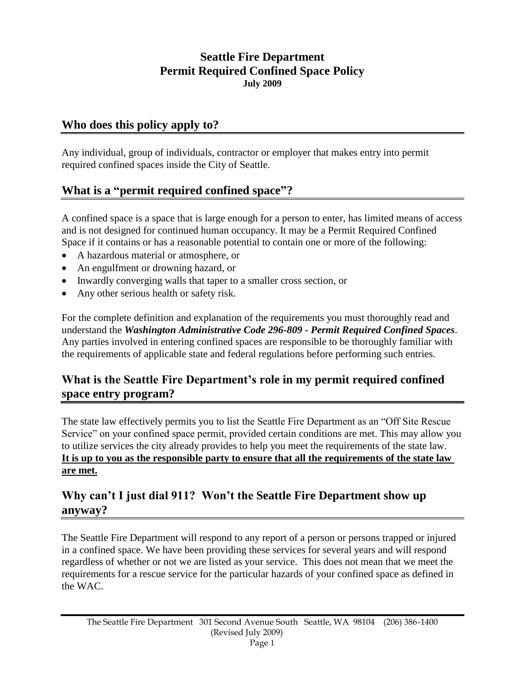## **Seattle Fire Department Permit Required Confined Space Policy July 2009**

### **Who does this policy apply to?**

Any individual, group of individuals, contractor or employer that makes entry into permit required confined spaces inside the City of Seattle.

# **What is a "permit required confined space"?**

A confined space is a space that is large enough for a person to enter, has limited means of access and is not designed for continued human occupancy. It may be a Permit Required Confined Space if it contains or has a reasonable potential to contain one or more of the following:

- A hazardous material or atmosphere, or
- An engulfment or drowning hazard, or
- Inwardly converging walls that taper to a smaller cross section, or
- Any other serious health or safety risk.

For the complete definition and explanation of the requirements you must thoroughly read and understand the *Washington Administrative Code 296-809 - Permit Required Confined Spaces*. Any parties involved in entering confined spaces are responsible to be thoroughly familiar with the requirements of applicable state and federal regulations before performing such entries.

### **What is the Seattle Fire Department's role in my permit required confined space entry program?**

The state law effectively permits you to list the Seattle Fire Department as an "Off Site Rescue Service" on your confined space permit, provided certain conditions are met. This may allow you to utilize services the city already provides to help you meet the requirements of the state law. **It is up to you as the responsible party to ensure that all the requirements of the state law are met.**

# **Why can't I just dial 911? Won't the Seattle Fire Department show up anyway?**

The Seattle Fire Department will respond to any report of a person or persons trapped or injured in a confined space. We have been providing these services for several years and will respond regardless of whether or not we are listed as your service. This does not mean that we meet the requirements for a rescue service for the particular hazards of your confined space as defined in the WAC.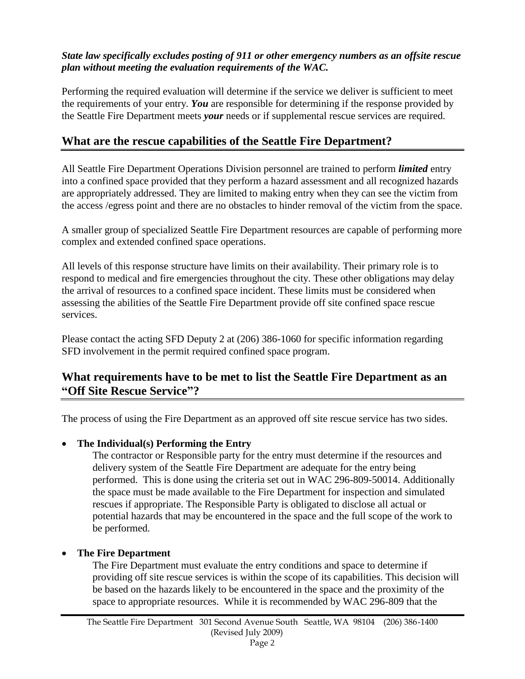#### *State law specifically excludes posting of 911 or other emergency numbers as an offsite rescue plan without meeting the evaluation requirements of the WAC.*

Performing the required evaluation will determine if the service we deliver is sufficient to meet the requirements of your entry. *You* are responsible for determining if the response provided by the Seattle Fire Department meets *your* needs or if supplemental rescue services are required.

# **What are the rescue capabilities of the Seattle Fire Department?**

All Seattle Fire Department Operations Division personnel are trained to perform *limited* entry into a confined space provided that they perform a hazard assessment and all recognized hazards are appropriately addressed. They are limited to making entry when they can see the victim from the access /egress point and there are no obstacles to hinder removal of the victim from the space.

A smaller group of specialized Seattle Fire Department resources are capable of performing more complex and extended confined space operations.

All levels of this response structure have limits on their availability. Their primary role is to respond to medical and fire emergencies throughout the city. These other obligations may delay the arrival of resources to a confined space incident. These limits must be considered when assessing the abilities of the Seattle Fire Department provide off site confined space rescue services.

Please contact the acting SFD Deputy 2 at (206) 386-1060 for specific information regarding SFD involvement in the permit required confined space program.

# **What requirements have to be met to list the Seattle Fire Department as an "Off Site Rescue Service"?**

The process of using the Fire Department as an approved off site rescue service has two sides.

### **The Individual(s) Performing the Entry**

The contractor or Responsible party for the entry must determine if the resources and delivery system of the Seattle Fire Department are adequate for the entry being performed. This is done using the criteria set out in WAC 296-809-50014. Additionally the space must be made available to the Fire Department for inspection and simulated rescues if appropriate. The Responsible Party is obligated to disclose all actual or potential hazards that may be encountered in the space and the full scope of the work to be performed.

### **The Fire Department**

The Fire Department must evaluate the entry conditions and space to determine if providing off site rescue services is within the scope of its capabilities. This decision will be based on the hazards likely to be encountered in the space and the proximity of the space to appropriate resources. While it is recommended by WAC 296-809 that the